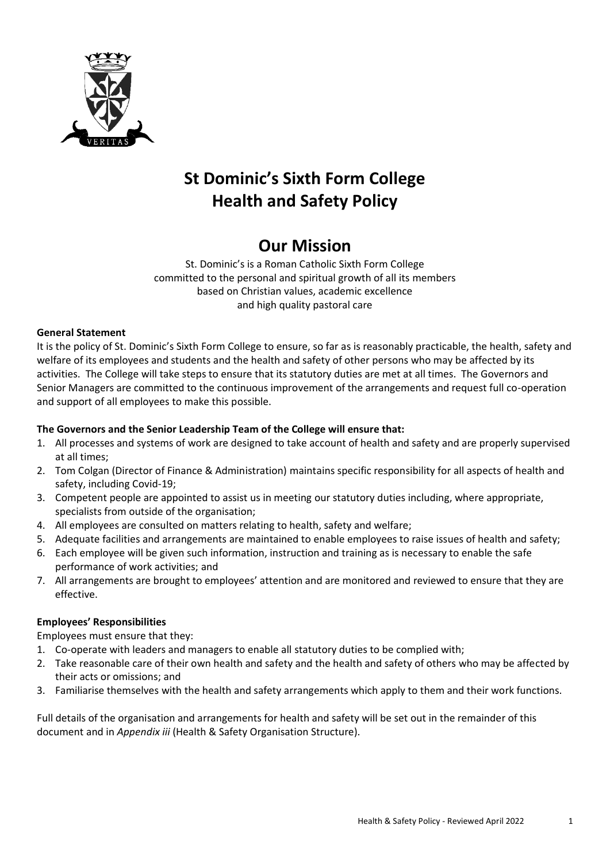

# **St Dominic's Sixth Form College Health and Safety Policy**

# **Our Mission**

St. Dominic's is a Roman Catholic Sixth Form College committed to the personal and spiritual growth of all its members based on Christian values, academic excellence and high quality pastoral care

# **General Statement**

It is the policy of St. Dominic's Sixth Form College to ensure, so far as is reasonably practicable, the health, safety and welfare of its employees and students and the health and safety of other persons who may be affected by its activities. The College will take steps to ensure that its statutory duties are met at all times. The Governors and Senior Managers are committed to the continuous improvement of the arrangements and request full co-operation and support of all employees to make this possible.

### **The Governors and the Senior Leadership Team of the College will ensure that:**

- 1. All processes and systems of work are designed to take account of health and safety and are properly supervised at all times;
- 2. Tom Colgan (Director of Finance & Administration) maintains specific responsibility for all aspects of health and safety, including Covid-19;
- 3. Competent people are appointed to assist us in meeting our statutory duties including, where appropriate, specialists from outside of the organisation;
- 4. All employees are consulted on matters relating to health, safety and welfare;
- 5. Adequate facilities and arrangements are maintained to enable employees to raise issues of health and safety;
- 6. Each employee will be given such information, instruction and training as is necessary to enable the safe performance of work activities; and
- 7. All arrangements are brought to employees' attention and are monitored and reviewed to ensure that they are effective.

#### **Employees' Responsibilities**

Employees must ensure that they:

- 1. Co-operate with leaders and managers to enable all statutory duties to be complied with;
- 2. Take reasonable care of their own health and safety and the health and safety of others who may be affected by their acts or omissions; and
- 3. Familiarise themselves with the health and safety arrangements which apply to them and their work functions.

Full details of the organisation and arrangements for health and safety will be set out in the remainder of this document and in *Appendix iii* (Health & Safety Organisation Structure).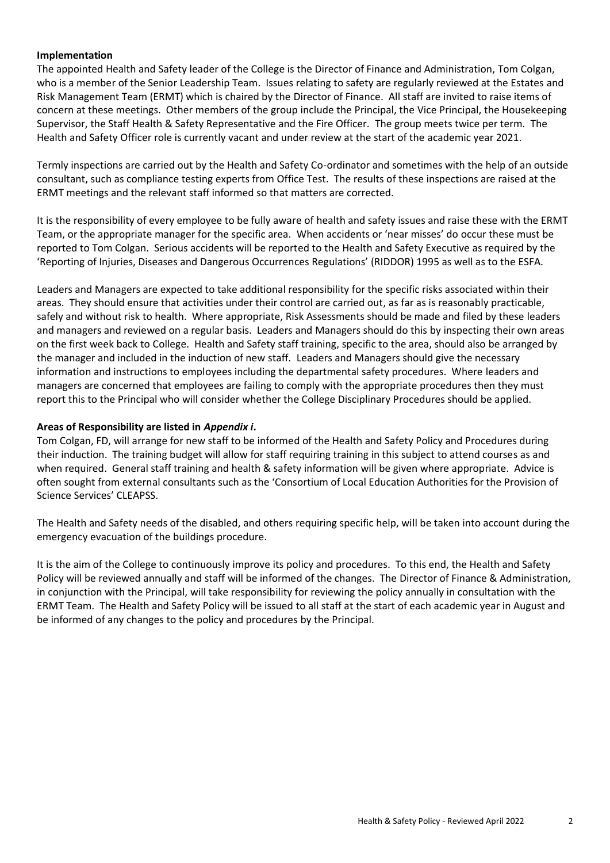#### **Implementation**

The appointed Health and Safety leader of the College is the Director of Finance and Administration, Tom Colgan, who is a member of the Senior Leadership Team. Issues relating to safety are regularly reviewed at the Estates and Risk Management Team (ERMT) which is chaired by the Director of Finance. All staff are invited to raise items of concern at these meetings. Other members of the group include the Principal, the Vice Principal, the Housekeeping Supervisor, the Staff Health & Safety Representative and the Fire Officer. The group meets twice per term. The Health and Safety Officer role is currently vacant and under review at the start of the academic year 2021.

Termly inspections are carried out by the Health and Safety Co-ordinator and sometimes with the help of an outside consultant, such as compliance testing experts from Office Test. The results of these inspections are raised at the ERMT meetings and the relevant staff informed so that matters are corrected.

It is the responsibility of every employee to be fully aware of health and safety issues and raise these with the ERMT Team, or the appropriate manager for the specific area. When accidents or 'near misses' do occur these must be reported to Tom Colgan. Serious accidents will be reported to the Health and Safety Executive as required by the 'Reporting of Injuries, Diseases and Dangerous Occurrences Regulations' (RIDDOR) 1995 as well as to the ESFA.

Leaders and Managers are expected to take additional responsibility for the specific risks associated within their areas. They should ensure that activities under their control are carried out, as far as is reasonably practicable, safely and without risk to health. Where appropriate, Risk Assessments should be made and filed by these leaders and managers and reviewed on a regular basis. Leaders and Managers should do this by inspecting their own areas on the first week back to College. Health and Safety staff training, specific to the area, should also be arranged by the manager and included in the induction of new staff. Leaders and Managers should give the necessary information and instructions to employees including the departmental safety procedures. Where leaders and managers are concerned that employees are failing to comply with the appropriate procedures then they must report this to the Principal who will consider whether the College Disciplinary Procedures should be applied.

#### **Areas of Responsibility are listed in** *Appendix i***.**

Tom Colgan, FD, will arrange for new staff to be informed of the Health and Safety Policy and Procedures during their induction. The training budget will allow for staff requiring training in this subject to attend courses as and when required. General staff training and health & safety information will be given where appropriate. Advice is often sought from external consultants such as the 'Consortium of Local Education Authorities for the Provision of Science Services' CLEAPSS.

The Health and Safety needs of the disabled, and others requiring specific help, will be taken into account during the emergency evacuation of the buildings procedure.

It is the aim of the College to continuously improve its policy and procedures. To this end, the Health and Safety Policy will be reviewed annually and staff will be informed of the changes. The Director of Finance & Administration, in conjunction with the Principal, will take responsibility for reviewing the policy annually in consultation with the ERMT Team. The Health and Safety Policy will be issued to all staff at the start of each academic year in August and be informed of any changes to the policy and procedures by the Principal.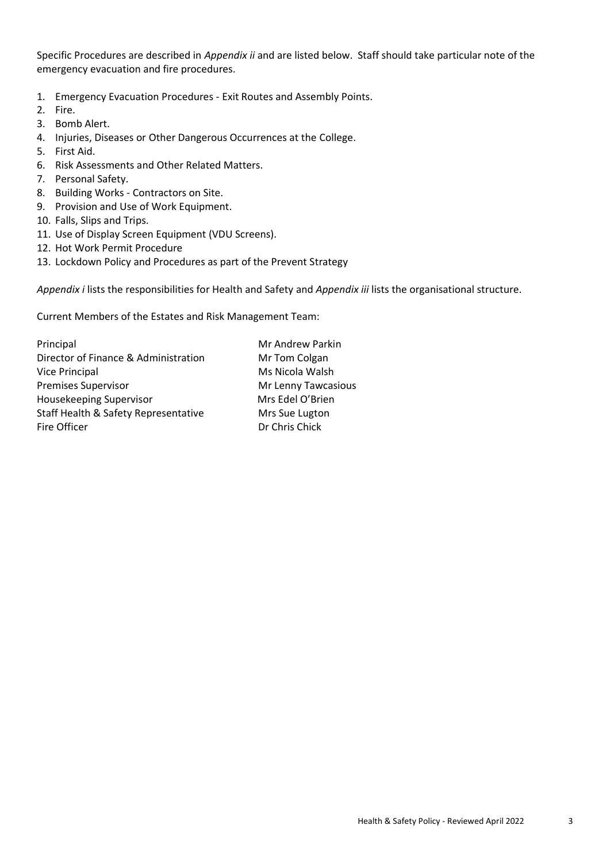Specific Procedures are described in *Appendix ii* and are listed below. Staff should take particular note of the emergency evacuation and fire procedures.

- 1. Emergency Evacuation Procedures Exit Routes and Assembly Points.
- 2. Fire.
- 3. Bomb Alert.
- 4. Injuries, Diseases or Other Dangerous Occurrences at the College.
- 5. First Aid.
- 6. Risk Assessments and Other Related Matters.
- 7. Personal Safety.
- 8. Building Works Contractors on Site.
- 9. Provision and Use of Work Equipment.
- 10. Falls, Slips and Trips.
- 11. Use of Display Screen Equipment (VDU Screens).
- 12. Hot Work Permit Procedure
- 13. Lockdown Policy and Procedures as part of the Prevent Strategy

*Appendix i* lists the responsibilities for Health and Safety and *Appendix iii* lists the organisational structure.

Current Members of the Estates and Risk Management Team:

Principal Mr Andrew Parkin Director of Finance & Administration Mr Tom Colgan Vice Principal Ms Nicola Walsh Premises Supervisor **Mr Lenny Tawcasious** Housekeeping Supervisor Mrs Edel O'Brien Staff Health & Safety Representative Mrs Sue Lugton Fire Officer **Dr Chris Chick**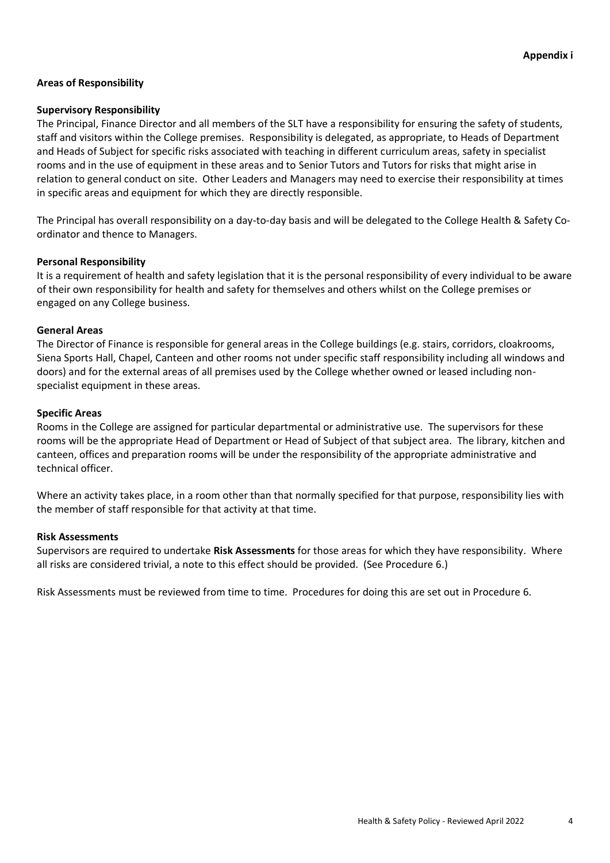#### **Areas of Responsibility**

#### **Supervisory Responsibility**

The Principal, Finance Director and all members of the SLT have a responsibility for ensuring the safety of students, staff and visitors within the College premises. Responsibility is delegated, as appropriate, to Heads of Department and Heads of Subject for specific risks associated with teaching in different curriculum areas, safety in specialist rooms and in the use of equipment in these areas and to Senior Tutors and Tutors for risks that might arise in relation to general conduct on site. Other Leaders and Managers may need to exercise their responsibility at times in specific areas and equipment for which they are directly responsible.

The Principal has overall responsibility on a day-to-day basis and will be delegated to the College Health & Safety Coordinator and thence to Managers.

#### **Personal Responsibility**

It is a requirement of health and safety legislation that it is the personal responsibility of every individual to be aware of their own responsibility for health and safety for themselves and others whilst on the College premises or engaged on any College business.

#### **General Areas**

The Director of Finance is responsible for general areas in the College buildings (e.g. stairs, corridors, cloakrooms, Siena Sports Hall, Chapel, Canteen and other rooms not under specific staff responsibility including all windows and doors) and for the external areas of all premises used by the College whether owned or leased including nonspecialist equipment in these areas.

#### **Specific Areas**

Rooms in the College are assigned for particular departmental or administrative use. The supervisors for these rooms will be the appropriate Head of Department or Head of Subject of that subject area. The library, kitchen and canteen, offices and preparation rooms will be under the responsibility of the appropriate administrative and technical officer.

Where an activity takes place, in a room other than that normally specified for that purpose, responsibility lies with the member of staff responsible for that activity at that time.

#### **Risk Assessments**

Supervisors are required to undertake **Risk Assessments** for those areas for which they have responsibility. Where all risks are considered trivial, a note to this effect should be provided. (See Procedure 6.)

Risk Assessments must be reviewed from time to time. Procedures for doing this are set out in Procedure 6.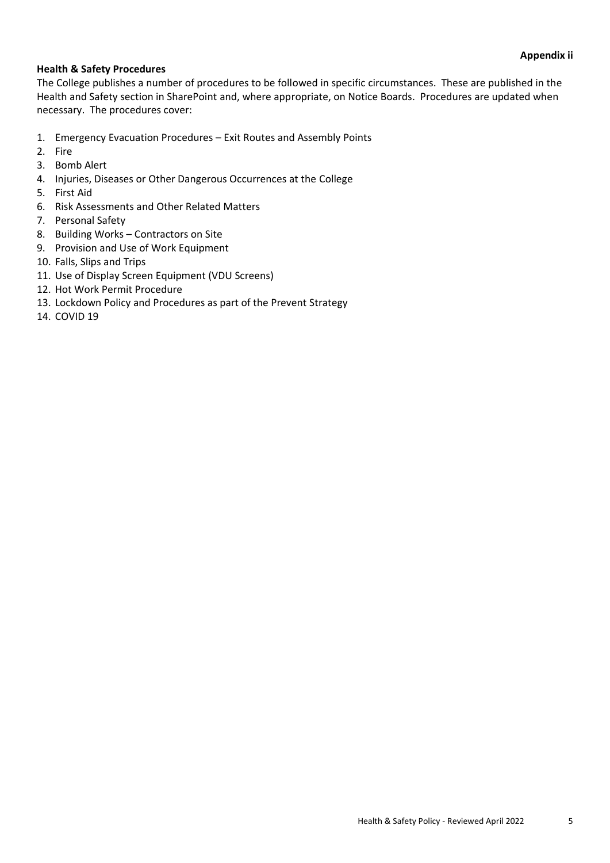# **Health & Safety Procedures**

The College publishes a number of procedures to be followed in specific circumstances. These are published in the Health and Safety section in SharePoint and, where appropriate, on Notice Boards. Procedures are updated when necessary. The procedures cover:

- 1. Emergency Evacuation Procedures Exit Routes and Assembly Points
- 2. Fire
- 3. Bomb Alert
- 4. Injuries, Diseases or Other Dangerous Occurrences at the College
- 5. First Aid
- 6. Risk Assessments and Other Related Matters
- 7. Personal Safety
- 8. Building Works Contractors on Site
- 9. Provision and Use of Work Equipment
- 10. Falls, Slips and Trips
- 11. Use of Display Screen Equipment (VDU Screens)
- 12. Hot Work Permit Procedure
- 13. Lockdown Policy and Procedures as part of the Prevent Strategy
- 14. COVID 19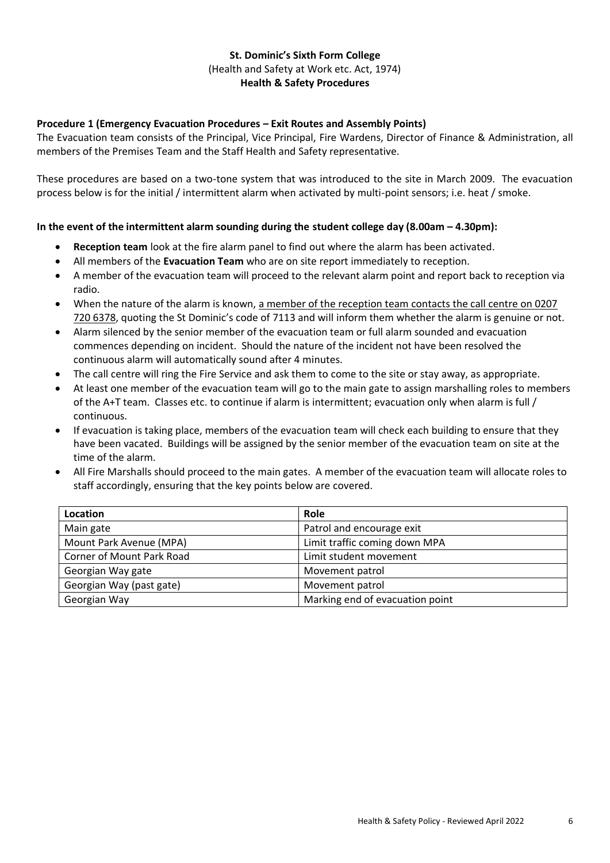# **Procedure 1 (Emergency Evacuation Procedures – Exit Routes and Assembly Points)**

The Evacuation team consists of the Principal, Vice Principal, Fire Wardens, Director of Finance & Administration, all members of the Premises Team and the Staff Health and Safety representative.

These procedures are based on a two-tone system that was introduced to the site in March 2009. The evacuation process below is for the initial / intermittent alarm when activated by multi-point sensors; i.e. heat / smoke.

#### **In the event of the intermittent alarm sounding during the student college day (8.00am – 4.30pm):**

- **Reception team** look at the fire alarm panel to find out where the alarm has been activated.
- All members of the **Evacuation Team** who are on site report immediately to reception.
- A member of the evacuation team will proceed to the relevant alarm point and report back to reception via radio.
- When the nature of the alarm is known, a member of the reception team contacts the call centre on 0207 720 6378, quoting the St Dominic's code of 7113 and will inform them whether the alarm is genuine or not.
- Alarm silenced by the senior member of the evacuation team or full alarm sounded and evacuation commences depending on incident. Should the nature of the incident not have been resolved the continuous alarm will automatically sound after 4 minutes.
- The call centre will ring the Fire Service and ask them to come to the site or stay away, as appropriate.
- At least one member of the evacuation team will go to the main gate to assign marshalling roles to members of the A+T team. Classes etc. to continue if alarm is intermittent; evacuation only when alarm is full / continuous.
- If evacuation is taking place, members of the evacuation team will check each building to ensure that they have been vacated. Buildings will be assigned by the senior member of the evacuation team on site at the time of the alarm.
- All Fire Marshalls should proceed to the main gates. A member of the evacuation team will allocate roles to staff accordingly, ensuring that the key points below are covered.

| Location                  | Role                            |
|---------------------------|---------------------------------|
| Main gate                 | Patrol and encourage exit       |
| Mount Park Avenue (MPA)   | Limit traffic coming down MPA   |
| Corner of Mount Park Road | Limit student movement          |
| Georgian Way gate         | Movement patrol                 |
| Georgian Way (past gate)  | Movement patrol                 |
| Georgian Way              | Marking end of evacuation point |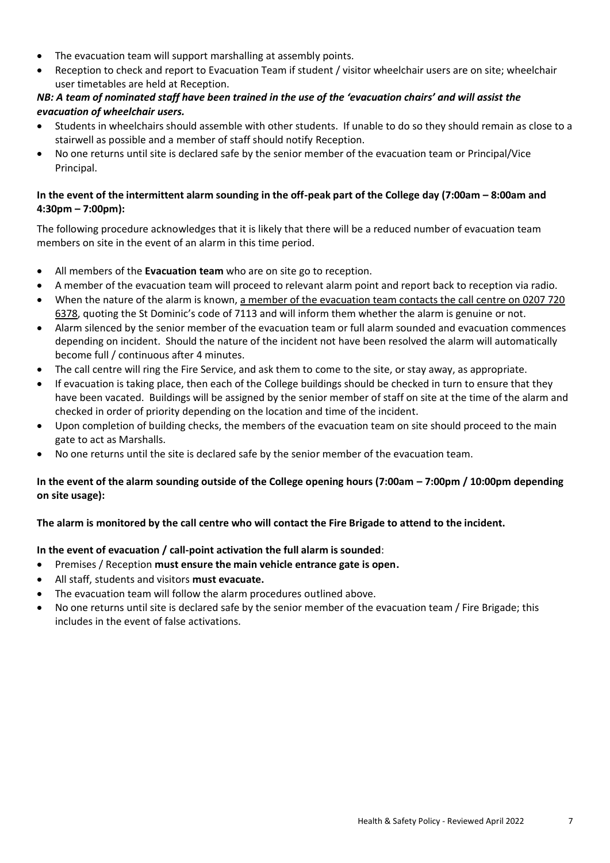- The evacuation team will support marshalling at assembly points.
- Reception to check and report to Evacuation Team if student / visitor wheelchair users are on site; wheelchair user timetables are held at Reception.

# *NB: A team of nominated staff have been trained in the use of the 'evacuation chairs' and will assist the evacuation of wheelchair users.*

- Students in wheelchairs should assemble with other students. If unable to do so they should remain as close to a stairwell as possible and a member of staff should notify Reception.
- No one returns until site is declared safe by the senior member of the evacuation team or Principal/Vice Principal.

# **In the event of the intermittent alarm sounding in the off-peak part of the College day (7:00am – 8:00am and 4:30pm – 7:00pm):**

The following procedure acknowledges that it is likely that there will be a reduced number of evacuation team members on site in the event of an alarm in this time period.

- All members of the **Evacuation team** who are on site go to reception.
- A member of the evacuation team will proceed to relevant alarm point and report back to reception via radio.
- When the nature of the alarm is known, a member of the evacuation team contacts the call centre on 0207 720 6378, quoting the St Dominic's code of 7113 and will inform them whether the alarm is genuine or not.
- Alarm silenced by the senior member of the evacuation team or full alarm sounded and evacuation commences depending on incident. Should the nature of the incident not have been resolved the alarm will automatically become full / continuous after 4 minutes.
- The call centre will ring the Fire Service, and ask them to come to the site, or stay away, as appropriate.
- If evacuation is taking place, then each of the College buildings should be checked in turn to ensure that they have been vacated. Buildings will be assigned by the senior member of staff on site at the time of the alarm and checked in order of priority depending on the location and time of the incident.
- Upon completion of building checks, the members of the evacuation team on site should proceed to the main gate to act as Marshalls.
- No one returns until the site is declared safe by the senior member of the evacuation team.

# **In the event of the alarm sounding outside of the College opening hours (7:00am – 7:00pm / 10:00pm depending on site usage):**

# **The alarm is monitored by the call centre who will contact the Fire Brigade to attend to the incident.**

# **In the event of evacuation / call-point activation the full alarm is sounded**:

- Premises / Reception **must ensure the main vehicle entrance gate is open.**
- All staff, students and visitors **must evacuate.**
- The evacuation team will follow the alarm procedures outlined above.
- No one returns until site is declared safe by the senior member of the evacuation team / Fire Brigade; this includes in the event of false activations.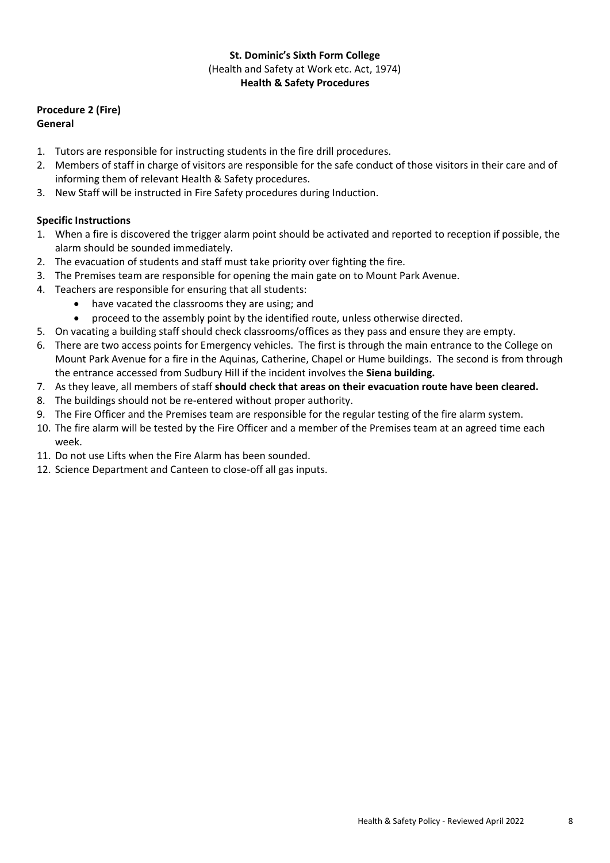# **Procedure 2 (Fire)**

# **General**

- 1. Tutors are responsible for instructing students in the fire drill procedures.
- 2. Members of staff in charge of visitors are responsible for the safe conduct of those visitors in their care and of informing them of relevant Health & Safety procedures.
- 3. New Staff will be instructed in Fire Safety procedures during Induction.

# **Specific Instructions**

- 1. When a fire is discovered the trigger alarm point should be activated and reported to reception if possible, the alarm should be sounded immediately.
- 2. The evacuation of students and staff must take priority over fighting the fire.
- 3. The Premises team are responsible for opening the main gate on to Mount Park Avenue.
- 4. Teachers are responsible for ensuring that all students:
	- have vacated the classrooms they are using; and
	- proceed to the assembly point by the identified route, unless otherwise directed.
- 5. On vacating a building staff should check classrooms/offices as they pass and ensure they are empty.
- 6. There are two access points for Emergency vehicles. The first is through the main entrance to the College on Mount Park Avenue for a fire in the Aquinas, Catherine, Chapel or Hume buildings. The second is from through the entrance accessed from Sudbury Hill if the incident involves the **Siena building.**
- 7. As they leave, all members of staff **should check that areas on their evacuation route have been cleared.**
- 8. The buildings should not be re-entered without proper authority.
- 9. The Fire Officer and the Premises team are responsible for the regular testing of the fire alarm system.
- 10. The fire alarm will be tested by the Fire Officer and a member of the Premises team at an agreed time each week.
- 11. Do not use Lifts when the Fire Alarm has been sounded.
- 12. Science Department and Canteen to close-off all gas inputs.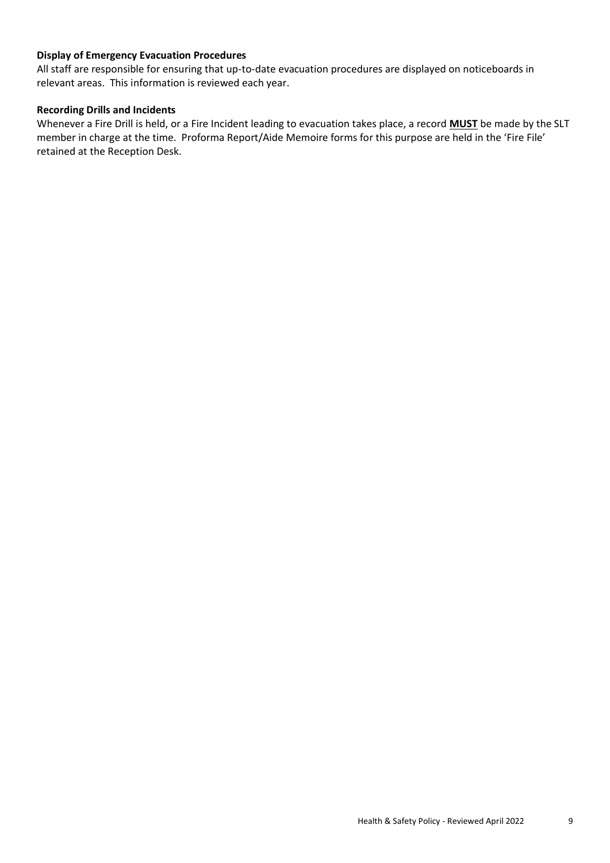# **Display of Emergency Evacuation Procedures**

All staff are responsible for ensuring that up-to-date evacuation procedures are displayed on noticeboards in relevant areas. This information is reviewed each year.

### **Recording Drills and Incidents**

Whenever a Fire Drill is held, or a Fire Incident leading to evacuation takes place, a record **MUST** be made by the SLT member in charge at the time. Proforma Report/Aide Memoire forms for this purpose are held in the 'Fire File' retained at the Reception Desk.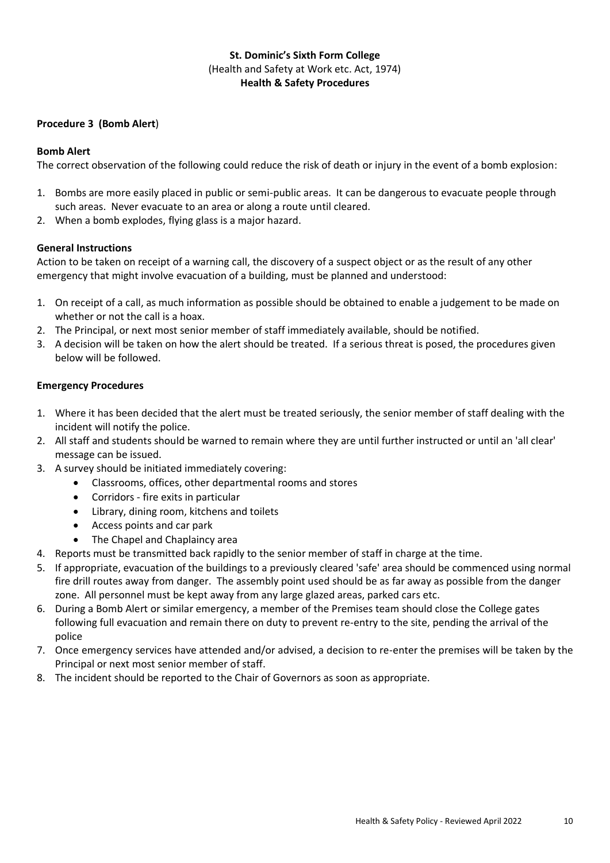#### **Procedure 3 (Bomb Alert**)

### **Bomb Alert**

The correct observation of the following could reduce the risk of death or injury in the event of a bomb explosion:

- 1. Bombs are more easily placed in public or semi-public areas. It can be dangerous to evacuate people through such areas. Never evacuate to an area or along a route until cleared.
- 2. When a bomb explodes, flying glass is a major hazard.

### **General Instructions**

Action to be taken on receipt of a warning call, the discovery of a suspect object or as the result of any other emergency that might involve evacuation of a building, must be planned and understood:

- 1. On receipt of a call, as much information as possible should be obtained to enable a judgement to be made on whether or not the call is a hoax.
- 2. The Principal, or next most senior member of staff immediately available, should be notified.
- 3. A decision will be taken on how the alert should be treated. If a serious threat is posed, the procedures given below will be followed.

### **Emergency Procedures**

- 1. Where it has been decided that the alert must be treated seriously, the senior member of staff dealing with the incident will notify the police.
- 2. All staff and students should be warned to remain where they are until further instructed or until an 'all clear' message can be issued.
- 3. A survey should be initiated immediately covering:
	- Classrooms, offices, other departmental rooms and stores
	- Corridors fire exits in particular
	- Library, dining room, kitchens and toilets
	- Access points and car park
	- The Chapel and Chaplaincy area
- 4. Reports must be transmitted back rapidly to the senior member of staff in charge at the time.
- 5. If appropriate, evacuation of the buildings to a previously cleared 'safe' area should be commenced using normal fire drill routes away from danger. The assembly point used should be as far away as possible from the danger zone. All personnel must be kept away from any large glazed areas, parked cars etc.
- 6. During a Bomb Alert or similar emergency, a member of the Premises team should close the College gates following full evacuation and remain there on duty to prevent re-entry to the site, pending the arrival of the police
- 7. Once emergency services have attended and/or advised, a decision to re-enter the premises will be taken by the Principal or next most senior member of staff.
- 8. The incident should be reported to the Chair of Governors as soon as appropriate.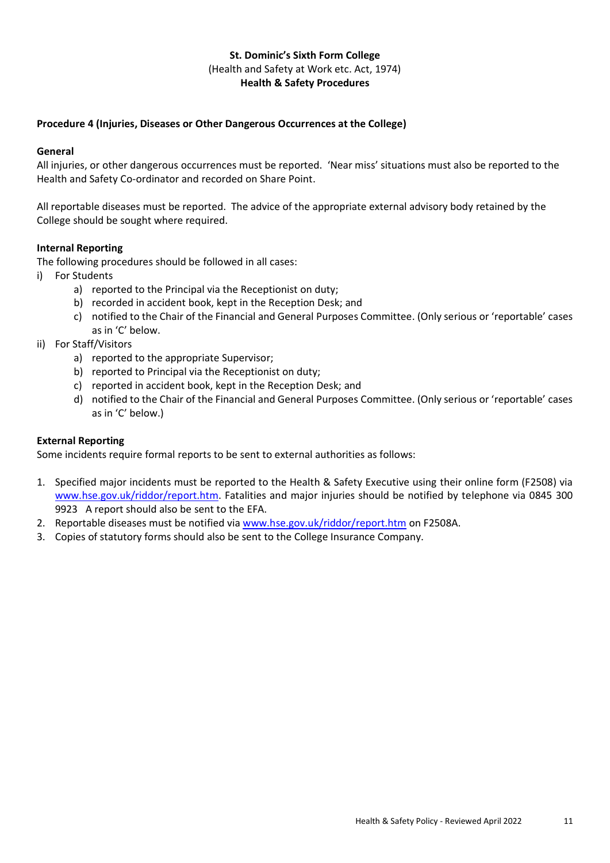# **Procedure 4 (Injuries, Diseases or Other Dangerous Occurrences at the College)**

#### **General**

All injuries, or other dangerous occurrences must be reported. 'Near miss' situations must also be reported to the Health and Safety Co-ordinator and recorded on Share Point.

All reportable diseases must be reported. The advice of the appropriate external advisory body retained by the College should be sought where required.

### **Internal Reporting**

The following procedures should be followed in all cases:

- i) For Students
	- a) reported to the Principal via the Receptionist on duty;
	- b) recorded in accident book, kept in the Reception Desk; and
	- c) notified to the Chair of the Financial and General Purposes Committee. (Only serious or 'reportable' cases as in 'C' below.
- ii) For Staff/Visitors
	- a) reported to the appropriate Supervisor;
	- b) reported to Principal via the Receptionist on duty;
	- c) reported in accident book, kept in the Reception Desk; and
	- d) notified to the Chair of the Financial and General Purposes Committee. (Only serious or 'reportable' cases as in 'C' below.)

# **External Reporting**

Some incidents require formal reports to be sent to external authorities as follows:

- 1. Specified major incidents must be reported to the Health & Safety Executive using their online form (F2508) via [www.hse.gov.uk/riddor/report.htm.](http://www.hse.gov.uk/riddor/report.htm) Fatalities and major injuries should be notified by telephone via 0845 300 9923 A report should also be sent to the EFA.
- 2. Reportable diseases must be notified via [www.hse.gov.uk/riddor/report.htm](http://www.hse.gov.uk/riddor/report.htm) on F2508A.
- 3. Copies of statutory forms should also be sent to the College Insurance Company.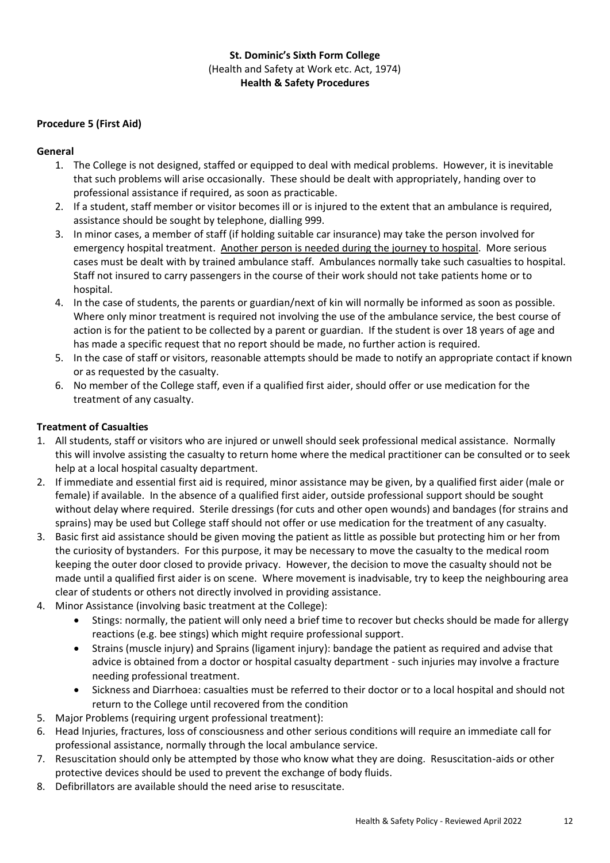# **Procedure 5 (First Aid)**

# **General**

- 1. The College is not designed, staffed or equipped to deal with medical problems. However, it is inevitable that such problems will arise occasionally. These should be dealt with appropriately, handing over to professional assistance if required, as soon as practicable.
- 2. If a student, staff member or visitor becomes ill or is injured to the extent that an ambulance is required, assistance should be sought by telephone, dialling 999.
- 3. In minor cases, a member of staff (if holding suitable car insurance) may take the person involved for emergency hospital treatment. Another person is needed during the journey to hospital. More serious cases must be dealt with by trained ambulance staff. Ambulances normally take such casualties to hospital. Staff not insured to carry passengers in the course of their work should not take patients home or to hospital.
- 4. In the case of students, the parents or guardian/next of kin will normally be informed as soon as possible. Where only minor treatment is required not involving the use of the ambulance service, the best course of action is for the patient to be collected by a parent or guardian. If the student is over 18 years of age and has made a specific request that no report should be made, no further action is required.
- 5. In the case of staff or visitors, reasonable attempts should be made to notify an appropriate contact if known or as requested by the casualty.
- 6. No member of the College staff, even if a qualified first aider, should offer or use medication for the treatment of any casualty.

# **Treatment of Casualties**

- 1. All students, staff or visitors who are injured or unwell should seek professional medical assistance. Normally this will involve assisting the casualty to return home where the medical practitioner can be consulted or to seek help at a local hospital casualty department.
- 2. If immediate and essential first aid is required, minor assistance may be given, by a qualified first aider (male or female) if available. In the absence of a qualified first aider, outside professional support should be sought without delay where required. Sterile dressings (for cuts and other open wounds) and bandages (for strains and sprains) may be used but College staff should not offer or use medication for the treatment of any casualty.
- 3. Basic first aid assistance should be given moving the patient as little as possible but protecting him or her from the curiosity of bystanders. For this purpose, it may be necessary to move the casualty to the medical room keeping the outer door closed to provide privacy. However, the decision to move the casualty should not be made until a qualified first aider is on scene. Where movement is inadvisable, try to keep the neighbouring area clear of students or others not directly involved in providing assistance.
- 4. Minor Assistance (involving basic treatment at the College):
	- Stings: normally, the patient will only need a brief time to recover but checks should be made for allergy reactions (e.g. bee stings) which might require professional support.
	- Strains (muscle injury) and Sprains (ligament injury): bandage the patient as required and advise that advice is obtained from a doctor or hospital casualty department - such injuries may involve a fracture needing professional treatment.
	- Sickness and Diarrhoea: casualties must be referred to their doctor or to a local hospital and should not return to the College until recovered from the condition
- 5. Major Problems (requiring urgent professional treatment):
- 6. Head Injuries, fractures, loss of consciousness and other serious conditions will require an immediate call for professional assistance, normally through the local ambulance service.
- 7. Resuscitation should only be attempted by those who know what they are doing. Resuscitation-aids or other protective devices should be used to prevent the exchange of body fluids.
- 8. Defibrillators are available should the need arise to resuscitate.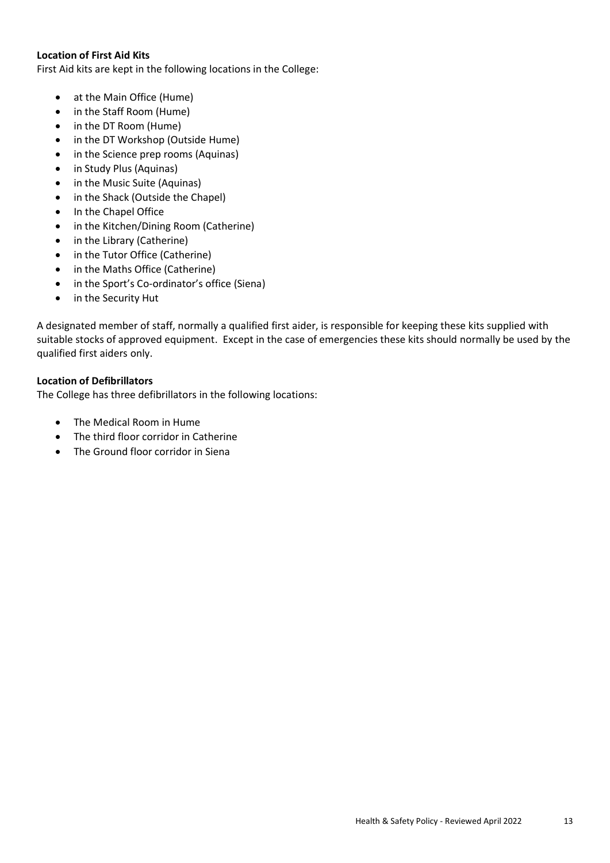### **Location of First Aid Kits**

First Aid kits are kept in the following locations in the College:

- at the Main Office (Hume)
- in the Staff Room (Hume)
- in the DT Room (Hume)
- in the DT Workshop (Outside Hume)
- in the Science prep rooms (Aquinas)
- in Study Plus (Aquinas)
- in the Music Suite (Aquinas)
- in the Shack (Outside the Chapel)
- In the Chapel Office
- in the Kitchen/Dining Room (Catherine)
- in the Library (Catherine)
- in the Tutor Office (Catherine)
- in the Maths Office (Catherine)
- in the Sport's Co-ordinator's office (Siena)
- in the Security Hut

A designated member of staff, normally a qualified first aider, is responsible for keeping these kits supplied with suitable stocks of approved equipment. Except in the case of emergencies these kits should normally be used by the qualified first aiders only.

### **Location of Defibrillators**

The College has three defibrillators in the following locations:

- The Medical Room in Hume
- The third floor corridor in Catherine
- The Ground floor corridor in Siena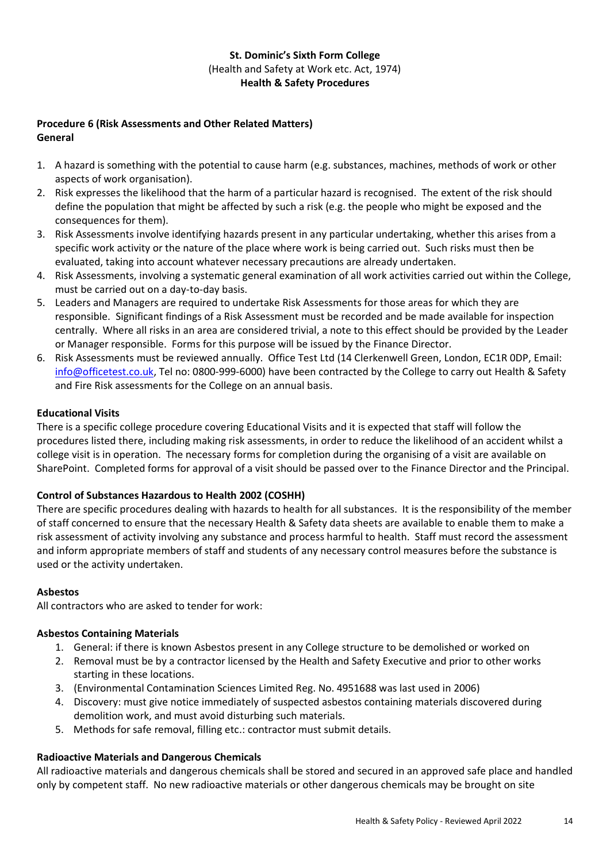# **Procedure 6 (Risk Assessments and Other Related Matters) General**

- 1. A hazard is something with the potential to cause harm (e.g. substances, machines, methods of work or other aspects of work organisation).
- 2. Risk expresses the likelihood that the harm of a particular hazard is recognised. The extent of the risk should define the population that might be affected by such a risk (e.g. the people who might be exposed and the consequences for them).
- 3. Risk Assessments involve identifying hazards present in any particular undertaking, whether this arises from a specific work activity or the nature of the place where work is being carried out. Such risks must then be evaluated, taking into account whatever necessary precautions are already undertaken.
- 4. Risk Assessments, involving a systematic general examination of all work activities carried out within the College, must be carried out on a day-to-day basis.
- 5. Leaders and Managers are required to undertake Risk Assessments for those areas for which they are responsible. Significant findings of a Risk Assessment must be recorded and be made available for inspection centrally. Where all risks in an area are considered trivial, a note to this effect should be provided by the Leader or Manager responsible. Forms for this purpose will be issued by the Finance Director.
- 6. Risk Assessments must be reviewed annually. Office Test Ltd (14 Clerkenwell Green, London, EC1R 0DP, Email: [info@officetest.co.uk,](mailto:info@officetest.co.uk) Tel no: 0800-999-6000) have been contracted by the College to carry out Health & Safety and Fire Risk assessments for the College on an annual basis.

# **Educational Visits**

There is a specific college procedure covering Educational Visits and it is expected that staff will follow the procedures listed there, including making risk assessments, in order to reduce the likelihood of an accident whilst a college visit is in operation. The necessary forms for completion during the organising of a visit are available on SharePoint. Completed forms for approval of a visit should be passed over to the Finance Director and the Principal.

# **Control of Substances Hazardous to Health 2002 (COSHH)**

There are specific procedures dealing with hazards to health for all substances. It is the responsibility of the member of staff concerned to ensure that the necessary Health & Safety data sheets are available to enable them to make a risk assessment of activity involving any substance and process harmful to health. Staff must record the assessment and inform appropriate members of staff and students of any necessary control measures before the substance is used or the activity undertaken.

# **Asbestos**

All contractors who are asked to tender for work:

# **Asbestos Containing Materials**

- 1. General: if there is known Asbestos present in any College structure to be demolished or worked on
- 2. Removal must be by a contractor licensed by the Health and Safety Executive and prior to other works starting in these locations.
- 3. (Environmental Contamination Sciences Limited Reg. No. 4951688 was last used in 2006)
- 4. Discovery: must give notice immediately of suspected asbestos containing materials discovered during demolition work, and must avoid disturbing such materials.
- 5. Methods for safe removal, filling etc.: contractor must submit details.

# **Radioactive Materials and Dangerous Chemicals**

All radioactive materials and dangerous chemicals shall be stored and secured in an approved safe place and handled only by competent staff. No new radioactive materials or other dangerous chemicals may be brought on site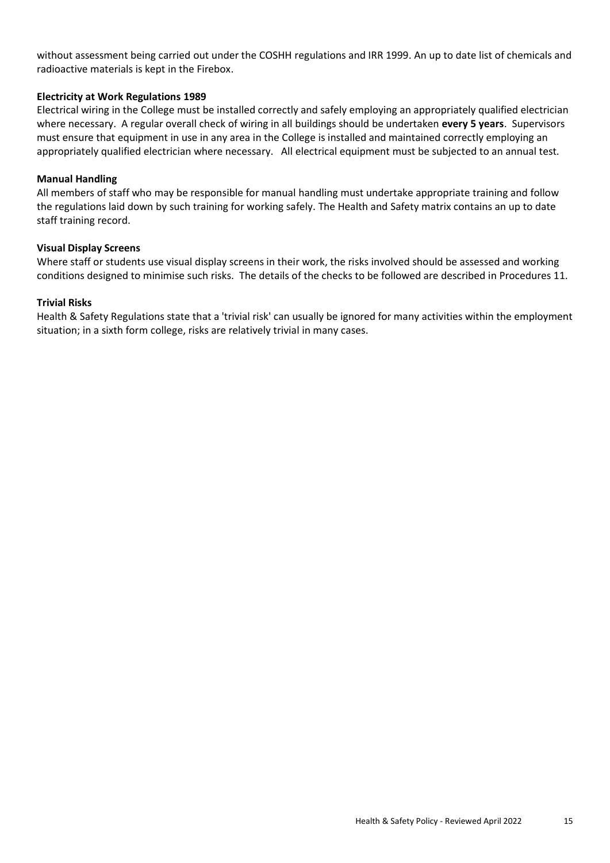without assessment being carried out under the COSHH regulations and IRR 1999. An up to date list of chemicals and radioactive materials is kept in the Firebox.

#### **Electricity at Work Regulations 1989**

Electrical wiring in the College must be installed correctly and safely employing an appropriately qualified electrician where necessary. A regular overall check of wiring in all buildings should be undertaken **every 5 years**. Supervisors must ensure that equipment in use in any area in the College is installed and maintained correctly employing an appropriately qualified electrician where necessary. All electrical equipment must be subjected to an annual test.

#### **Manual Handling**

All members of staff who may be responsible for manual handling must undertake appropriate training and follow the regulations laid down by such training for working safely. The Health and Safety matrix contains an up to date staff training record.

#### **Visual Display Screens**

Where staff or students use visual display screens in their work, the risks involved should be assessed and working conditions designed to minimise such risks. The details of the checks to be followed are described in Procedures 11.

#### **Trivial Risks**

Health & Safety Regulations state that a 'trivial risk' can usually be ignored for many activities within the employment situation; in a sixth form college, risks are relatively trivial in many cases.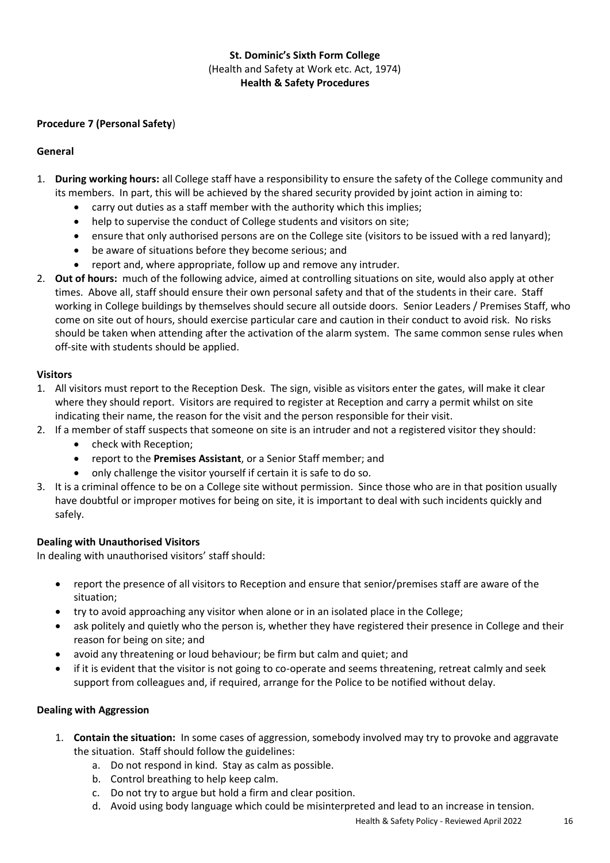# **Procedure 7 (Personal Safety**)

#### **General**

- 1. **During working hours:** all College staff have a responsibility to ensure the safety of the College community and its members. In part, this will be achieved by the shared security provided by joint action in aiming to:
	- carry out duties as a staff member with the authority which this implies;
	- help to supervise the conduct of College students and visitors on site;
	- ensure that only authorised persons are on the College site (visitors to be issued with a red lanyard);
	- be aware of situations before they become serious; and
	- report and, where appropriate, follow up and remove any intruder.
- 2. **Out of hours:** much of the following advice, aimed at controlling situations on site, would also apply at other times. Above all, staff should ensure their own personal safety and that of the students in their care. Staff working in College buildings by themselves should secure all outside doors. Senior Leaders / Premises Staff, who come on site out of hours, should exercise particular care and caution in their conduct to avoid risk. No risks should be taken when attending after the activation of the alarm system. The same common sense rules when off-site with students should be applied.

### **Visitors**

- 1. All visitors must report to the Reception Desk. The sign, visible as visitors enter the gates, will make it clear where they should report. Visitors are required to register at Reception and carry a permit whilst on site indicating their name, the reason for the visit and the person responsible for their visit.
- 2. If a member of staff suspects that someone on site is an intruder and not a registered visitor they should: • check with Reception;
	- report to the **Premises Assistant**, or a Senior Staff member; and
	- only challenge the visitor yourself if certain it is safe to do so.
- 3. It is a criminal offence to be on a College site without permission. Since those who are in that position usually have doubtful or improper motives for being on site, it is important to deal with such incidents quickly and safely.

# **Dealing with Unauthorised Visitors**

In dealing with unauthorised visitors' staff should:

- report the presence of all visitors to Reception and ensure that senior/premises staff are aware of the situation;
- try to avoid approaching any visitor when alone or in an isolated place in the College;
- ask politely and quietly who the person is, whether they have registered their presence in College and their reason for being on site; and
- avoid any threatening or loud behaviour; be firm but calm and quiet; and
- if it is evident that the visitor is not going to co-operate and seems threatening, retreat calmly and seek support from colleagues and, if required, arrange for the Police to be notified without delay.

#### **Dealing with Aggression**

- 1. **Contain the situation:** In some cases of aggression, somebody involved may try to provoke and aggravate the situation. Staff should follow the guidelines:
	- a. Do not respond in kind. Stay as calm as possible.
	- b. Control breathing to help keep calm.
	- c. Do not try to argue but hold a firm and clear position.
	- d. Avoid using body language which could be misinterpreted and lead to an increase in tension.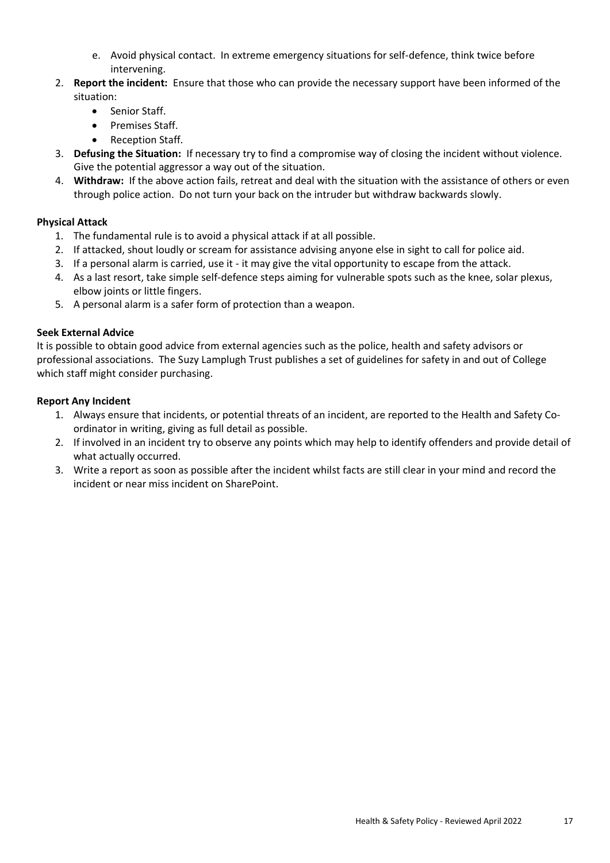- e. Avoid physical contact. In extreme emergency situations for self-defence, think twice before intervening.
- 2. **Report the incident:** Ensure that those who can provide the necessary support have been informed of the situation:
	- Senior Staff.
	- Premises Staff.
	- Reception Staff.
- 3. **Defusing the Situation:** If necessary try to find a compromise way of closing the incident without violence. Give the potential aggressor a way out of the situation.
- 4. **Withdraw:** If the above action fails, retreat and deal with the situation with the assistance of others or even through police action. Do not turn your back on the intruder but withdraw backwards slowly.

# **Physical Attack**

- 1. The fundamental rule is to avoid a physical attack if at all possible.
- 2. If attacked, shout loudly or scream for assistance advising anyone else in sight to call for police aid.
- 3. If a personal alarm is carried, use it it may give the vital opportunity to escape from the attack.
- 4. As a last resort, take simple self-defence steps aiming for vulnerable spots such as the knee, solar plexus, elbow joints or little fingers.
- 5. A personal alarm is a safer form of protection than a weapon.

# **Seek External Advice**

It is possible to obtain good advice from external agencies such as the police, health and safety advisors or professional associations. The Suzy Lamplugh Trust publishes a set of guidelines for safety in and out of College which staff might consider purchasing.

# **Report Any Incident**

- 1. Always ensure that incidents, or potential threats of an incident, are reported to the Health and Safety Coordinator in writing, giving as full detail as possible.
- 2. If involved in an incident try to observe any points which may help to identify offenders and provide detail of what actually occurred.
- 3. Write a report as soon as possible after the incident whilst facts are still clear in your mind and record the incident or near miss incident on SharePoint.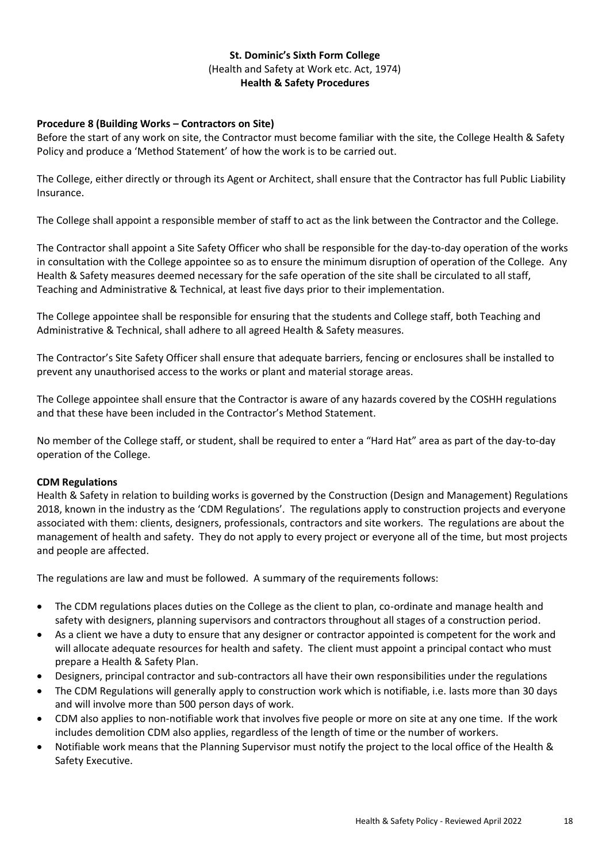# **Procedure 8 (Building Works – Contractors on Site)**

Before the start of any work on site, the Contractor must become familiar with the site, the College Health & Safety Policy and produce a 'Method Statement' of how the work is to be carried out.

The College, either directly or through its Agent or Architect, shall ensure that the Contractor has full Public Liability Insurance.

The College shall appoint a responsible member of staff to act as the link between the Contractor and the College.

The Contractor shall appoint a Site Safety Officer who shall be responsible for the day-to-day operation of the works in consultation with the College appointee so as to ensure the minimum disruption of operation of the College. Any Health & Safety measures deemed necessary for the safe operation of the site shall be circulated to all staff, Teaching and Administrative & Technical, at least five days prior to their implementation.

The College appointee shall be responsible for ensuring that the students and College staff, both Teaching and Administrative & Technical, shall adhere to all agreed Health & Safety measures.

The Contractor's Site Safety Officer shall ensure that adequate barriers, fencing or enclosures shall be installed to prevent any unauthorised access to the works or plant and material storage areas.

The College appointee shall ensure that the Contractor is aware of any hazards covered by the COSHH regulations and that these have been included in the Contractor's Method Statement.

No member of the College staff, or student, shall be required to enter a "Hard Hat" area as part of the day-to-day operation of the College.

#### **CDM Regulations**

Health & Safety in relation to building works is governed by the Construction (Design and Management) Regulations 2018, known in the industry as the 'CDM Regulations'. The regulations apply to construction projects and everyone associated with them: clients, designers, professionals, contractors and site workers. The regulations are about the management of health and safety. They do not apply to every project or everyone all of the time, but most projects and people are affected.

The regulations are law and must be followed. A summary of the requirements follows:

- The CDM regulations places duties on the College as the client to plan, co-ordinate and manage health and safety with designers, planning supervisors and contractors throughout all stages of a construction period.
- As a client we have a duty to ensure that any designer or contractor appointed is competent for the work and will allocate adequate resources for health and safety. The client must appoint a principal contact who must prepare a Health & Safety Plan.
- Designers, principal contractor and sub-contractors all have their own responsibilities under the regulations
- The CDM Regulations will generally apply to construction work which is notifiable, i.e. lasts more than 30 days and will involve more than 500 person days of work.
- CDM also applies to non-notifiable work that involves five people or more on site at any one time. If the work includes demolition CDM also applies, regardless of the length of time or the number of workers.
- Notifiable work means that the Planning Supervisor must notify the project to the local office of the Health & Safety Executive.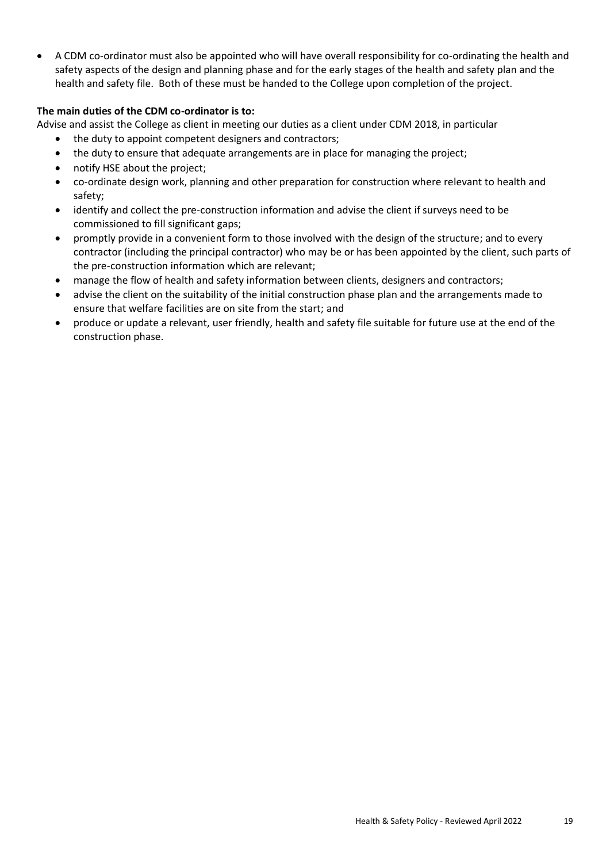• A CDM co-ordinator must also be appointed who will have overall responsibility for co-ordinating the health and safety aspects of the design and planning phase and for the early stages of the health and safety plan and the health and safety file. Both of these must be handed to the College upon completion of the project.

# **The main duties of the CDM co-ordinator is to:**

Advise and assist the College as client in meeting our duties as a client under CDM 2018, in particular

- the duty to appoint competent designers and contractors;
- the duty to ensure that adequate arrangements are in place for managing the project;
- notify HSE about the project;
- co-ordinate design work, planning and other preparation for construction where relevant to health and safety;
- identify and collect the pre-construction information and advise the client if surveys need to be commissioned to fill significant gaps;
- promptly provide in a convenient form to those involved with the design of the structure; and to every contractor (including the principal contractor) who may be or has been appointed by the client, such parts of the pre-construction information which are relevant;
- manage the flow of health and safety information between clients, designers and contractors;
- advise the client on the suitability of the initial construction phase plan and the arrangements made to ensure that welfare facilities are on site from the start; and
- produce or update a relevant, user friendly, health and safety file suitable for future use at the end of the construction phase.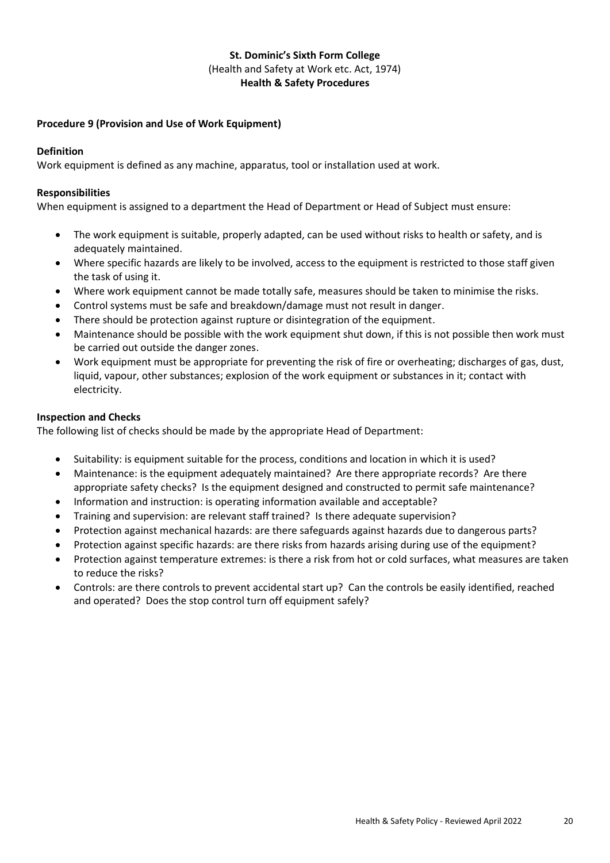# **Procedure 9 (Provision and Use of Work Equipment)**

#### **Definition**

Work equipment is defined as any machine, apparatus, tool or installation used at work.

#### **Responsibilities**

When equipment is assigned to a department the Head of Department or Head of Subject must ensure:

- The work equipment is suitable, properly adapted, can be used without risks to health or safety, and is adequately maintained.
- Where specific hazards are likely to be involved, access to the equipment is restricted to those staff given the task of using it.
- Where work equipment cannot be made totally safe, measures should be taken to minimise the risks.
- Control systems must be safe and breakdown/damage must not result in danger.
- There should be protection against rupture or disintegration of the equipment.
- Maintenance should be possible with the work equipment shut down, if this is not possible then work must be carried out outside the danger zones.
- Work equipment must be appropriate for preventing the risk of fire or overheating; discharges of gas, dust, liquid, vapour, other substances; explosion of the work equipment or substances in it; contact with electricity.

#### **Inspection and Checks**

The following list of checks should be made by the appropriate Head of Department:

- Suitability: is equipment suitable for the process, conditions and location in which it is used?
- Maintenance: is the equipment adequately maintained? Are there appropriate records? Are there appropriate safety checks? Is the equipment designed and constructed to permit safe maintenance?
- Information and instruction: is operating information available and acceptable?
- Training and supervision: are relevant staff trained? Is there adequate supervision?
- Protection against mechanical hazards: are there safeguards against hazards due to dangerous parts?
- Protection against specific hazards: are there risks from hazards arising during use of the equipment?
- Protection against temperature extremes: is there a risk from hot or cold surfaces, what measures are taken to reduce the risks?
- Controls: are there controls to prevent accidental start up? Can the controls be easily identified, reached and operated? Does the stop control turn off equipment safely?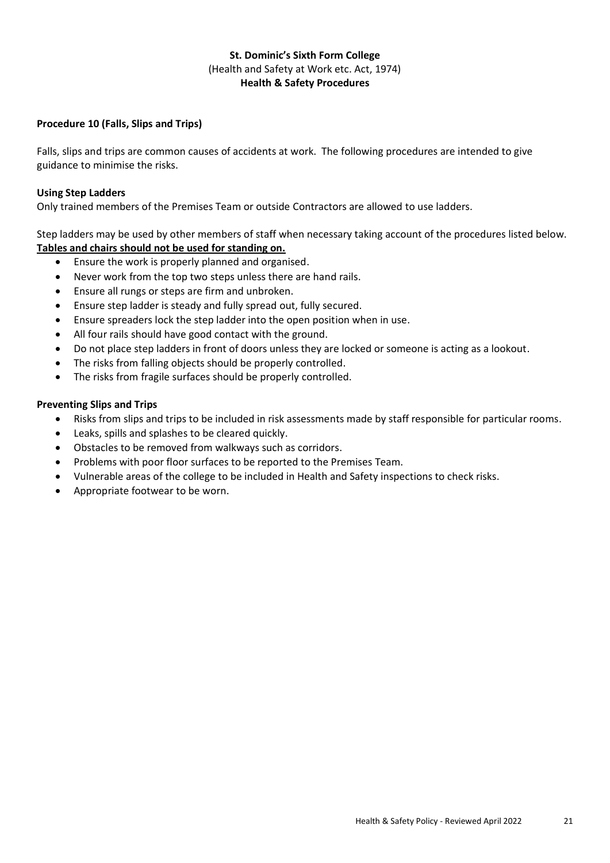# **Procedure 10 (Falls, Slips and Trips)**

Falls, slips and trips are common causes of accidents at work. The following procedures are intended to give guidance to minimise the risks.

#### **Using Step Ladders**

Only trained members of the Premises Team or outside Contractors are allowed to use ladders.

Step ladders may be used by other members of staff when necessary taking account of the procedures listed below. **Tables and chairs should not be used for standing on.**

- Ensure the work is properly planned and organised.
- Never work from the top two steps unless there are hand rails.
- Ensure all rungs or steps are firm and unbroken.
- Ensure step ladder is steady and fully spread out, fully secured.
- Ensure spreaders lock the step ladder into the open position when in use.
- All four rails should have good contact with the ground.
- Do not place step ladders in front of doors unless they are locked or someone is acting as a lookout.
- The risks from falling objects should be properly controlled.
- The risks from fragile surfaces should be properly controlled.

### **Preventing Slips and Trips**

- Risks from slips and trips to be included in risk assessments made by staff responsible for particular rooms.
- Leaks, spills and splashes to be cleared quickly.
- Obstacles to be removed from walkways such as corridors.
- Problems with poor floor surfaces to be reported to the Premises Team.
- Vulnerable areas of the college to be included in Health and Safety inspections to check risks.
- Appropriate footwear to be worn.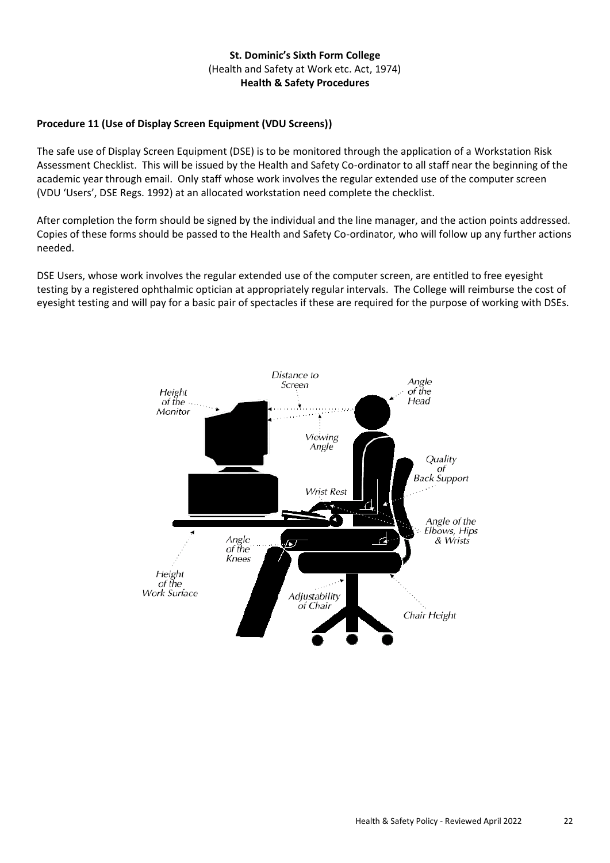# **Procedure 11 (Use of Display Screen Equipment (VDU Screens))**

The safe use of Display Screen Equipment (DSE) is to be monitored through the application of a Workstation Risk Assessment Checklist. This will be issued by the Health and Safety Co-ordinator to all staff near the beginning of the academic year through email. Only staff whose work involves the regular extended use of the computer screen (VDU 'Users', DSE Regs. 1992) at an allocated workstation need complete the checklist.

After completion the form should be signed by the individual and the line manager, and the action points addressed. Copies of these forms should be passed to the Health and Safety Co-ordinator, who will follow up any further actions needed.

DSE Users, whose work involves the regular extended use of the computer screen, are entitled to free eyesight testing by a registered ophthalmic optician at appropriately regular intervals. The College will reimburse the cost of eyesight testing and will pay for a basic pair of spectacles if these are required for the purpose of working with DSEs.

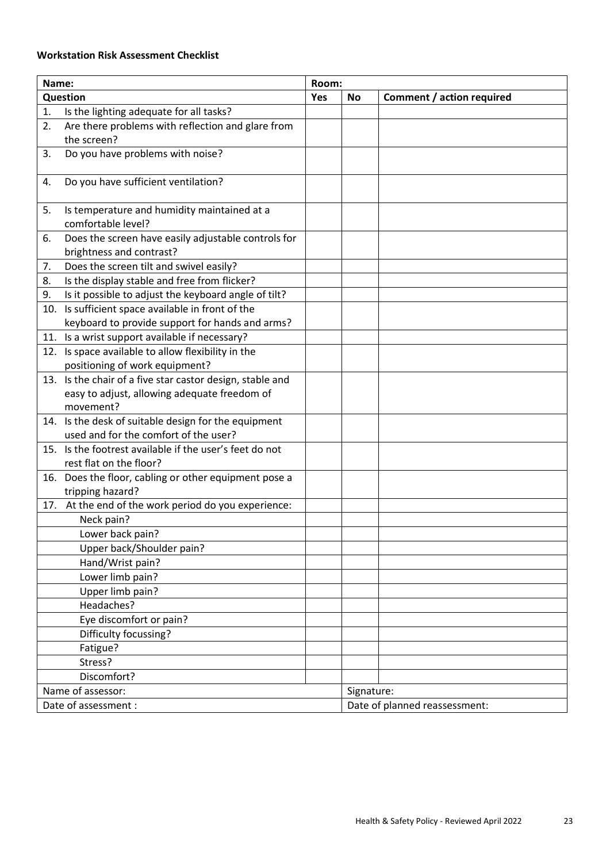# **Workstation Risk Assessment Checklist**

| Name:                |                                                                                 | Room: |            |                               |
|----------------------|---------------------------------------------------------------------------------|-------|------------|-------------------------------|
| Question             |                                                                                 | Yes   | <b>No</b>  | Comment / action required     |
| 1.                   | Is the lighting adequate for all tasks?                                         |       |            |                               |
| 2.                   | Are there problems with reflection and glare from                               |       |            |                               |
|                      | the screen?                                                                     |       |            |                               |
| 3.                   | Do you have problems with noise?                                                |       |            |                               |
| 4.                   | Do you have sufficient ventilation?                                             |       |            |                               |
| 5.                   | Is temperature and humidity maintained at a<br>comfortable level?               |       |            |                               |
| 6.                   | Does the screen have easily adjustable controls for<br>brightness and contrast? |       |            |                               |
| 7.                   | Does the screen tilt and swivel easily?                                         |       |            |                               |
| 8.                   | Is the display stable and free from flicker?                                    |       |            |                               |
| 9.                   | Is it possible to adjust the keyboard angle of tilt?                            |       |            |                               |
| 10.                  | Is sufficient space available in front of the                                   |       |            |                               |
|                      | keyboard to provide support for hands and arms?                                 |       |            |                               |
|                      | 11. Is a wrist support available if necessary?                                  |       |            |                               |
| 12.                  | Is space available to allow flexibility in the                                  |       |            |                               |
|                      | positioning of work equipment?                                                  |       |            |                               |
|                      | 13. Is the chair of a five star castor design, stable and                       |       |            |                               |
|                      | easy to adjust, allowing adequate freedom of                                    |       |            |                               |
|                      | movement?                                                                       |       |            |                               |
|                      | 14. Is the desk of suitable design for the equipment                            |       |            |                               |
|                      | used and for the comfort of the user?                                           |       |            |                               |
|                      | 15. Is the footrest available if the user's feet do not                         |       |            |                               |
|                      | rest flat on the floor?                                                         |       |            |                               |
|                      | 16. Does the floor, cabling or other equipment pose a                           |       |            |                               |
|                      | tripping hazard?                                                                |       |            |                               |
|                      | 17. At the end of the work period do you experience:                            |       |            |                               |
|                      | Neck pain?                                                                      |       |            |                               |
|                      | Lower back pain?                                                                |       |            |                               |
|                      | Upper back/Shoulder pain?<br>Hand/Wrist pain?                                   |       |            |                               |
|                      | Lower limb pain?                                                                |       |            |                               |
|                      |                                                                                 |       |            |                               |
|                      | Upper limb pain?<br>Headaches?                                                  |       |            |                               |
|                      |                                                                                 |       |            |                               |
|                      | Eye discomfort or pain?                                                         |       |            |                               |
|                      | Difficulty focussing?                                                           |       |            |                               |
|                      | Fatigue?<br>Stress?                                                             |       |            |                               |
|                      | Discomfort?                                                                     |       |            |                               |
|                      |                                                                                 |       |            |                               |
| Name of assessor:    |                                                                                 |       | Signature: |                               |
| Date of assessment : |                                                                                 |       |            | Date of planned reassessment: |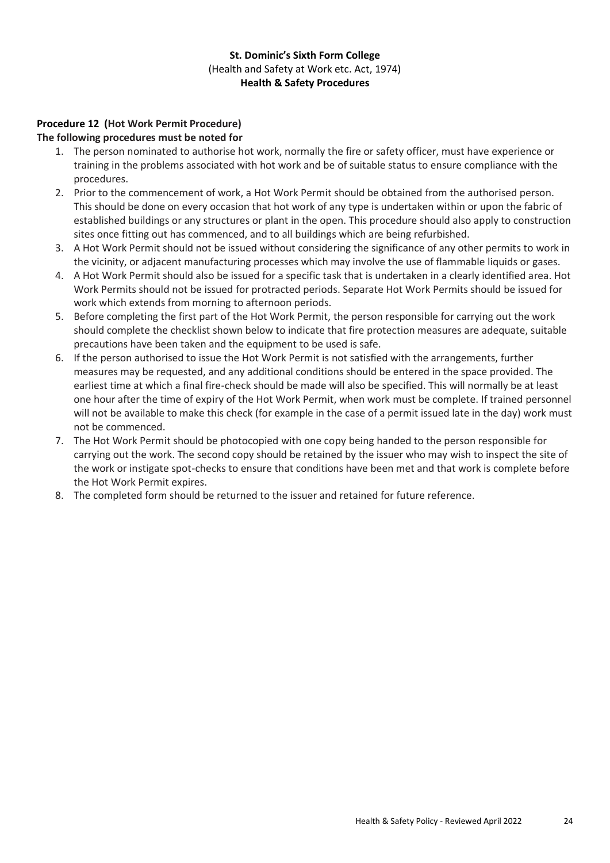# **Procedure 12 (Hot Work Permit Procedure)**

### **The following procedures must be noted for**

- 1. The person nominated to authorise hot work, normally the fire or safety officer, must have experience or training in the problems associated with hot work and be of suitable status to ensure compliance with the procedures.
- 2. Prior to the commencement of work, a Hot Work Permit should be obtained from the authorised person. This should be done on every occasion that hot work of any type is undertaken within or upon the fabric of established buildings or any structures or plant in the open. This procedure should also apply to construction sites once fitting out has commenced, and to all buildings which are being refurbished.
- 3. A Hot Work Permit should not be issued without considering the significance of any other permits to work in the vicinity, or adjacent manufacturing processes which may involve the use of flammable liquids or gases.
- 4. A Hot Work Permit should also be issued for a specific task that is undertaken in a clearly identified area. Hot Work Permits should not be issued for protracted periods. Separate Hot Work Permits should be issued for work which extends from morning to afternoon periods.
- 5. Before completing the first part of the Hot Work Permit, the person responsible for carrying out the work should complete the checklist shown below to indicate that fire protection measures are adequate, suitable precautions have been taken and the equipment to be used is safe.
- 6. If the person authorised to issue the Hot Work Permit is not satisfied with the arrangements, further measures may be requested, and any additional conditions should be entered in the space provided. The earliest time at which a final fire-check should be made will also be specified. This will normally be at least one hour after the time of expiry of the Hot Work Permit, when work must be complete. If trained personnel will not be available to make this check (for example in the case of a permit issued late in the day) work must not be commenced.
- 7. The Hot Work Permit should be photocopied with one copy being handed to the person responsible for carrying out the work. The second copy should be retained by the issuer who may wish to inspect the site of the work or instigate spot-checks to ensure that conditions have been met and that work is complete before the Hot Work Permit expires.
- 8. The completed form should be returned to the issuer and retained for future reference.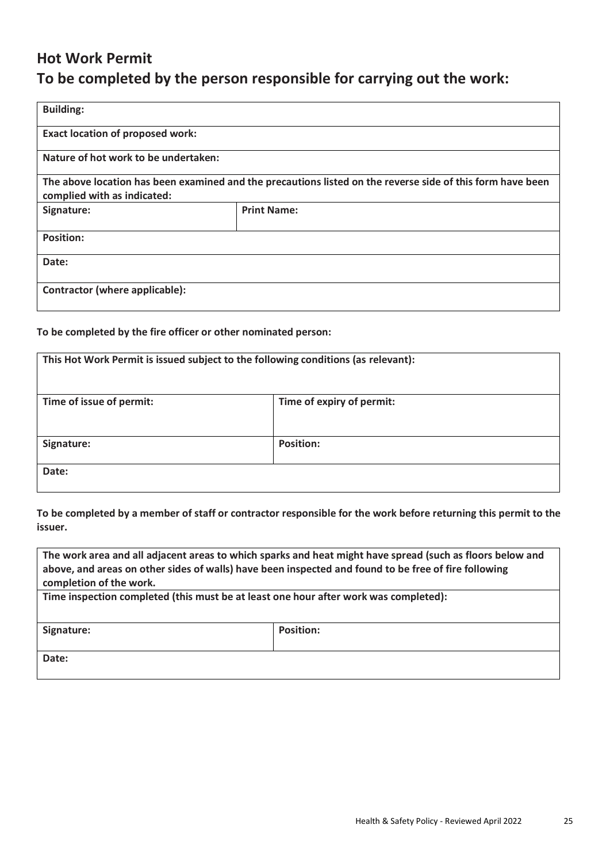# **Hot Work Permit To be completed by the person responsible for carrying out the work:**

| <b>Building:</b>                                                                                                                          |                    |  |  |
|-------------------------------------------------------------------------------------------------------------------------------------------|--------------------|--|--|
| <b>Exact location of proposed work:</b>                                                                                                   |                    |  |  |
| Nature of hot work to be undertaken:                                                                                                      |                    |  |  |
| The above location has been examined and the precautions listed on the reverse side of this form have been<br>complied with as indicated: |                    |  |  |
| Signature:                                                                                                                                | <b>Print Name:</b> |  |  |
| <b>Position:</b>                                                                                                                          |                    |  |  |
| Date:                                                                                                                                     |                    |  |  |
| Contractor (where applicable):                                                                                                            |                    |  |  |

# **To be completed by the fire officer or other nominated person:**

| This Hot Work Permit is issued subject to the following conditions (as relevant): |                           |  |
|-----------------------------------------------------------------------------------|---------------------------|--|
| Time of issue of permit:                                                          | Time of expiry of permit: |  |
| Signature:                                                                        | <b>Position:</b>          |  |
| Date:                                                                             |                           |  |

**To be completed by a member of staff or contractor responsible for the work before returning this permit to the issuer.**

| The work area and all adjacent areas to which sparks and heat might have spread (such as floors below and<br>above, and areas on other sides of walls) have been inspected and found to be free of fire following<br>completion of the work. |                  |  |  |  |
|----------------------------------------------------------------------------------------------------------------------------------------------------------------------------------------------------------------------------------------------|------------------|--|--|--|
| Time inspection completed (this must be at least one hour after work was completed):                                                                                                                                                         |                  |  |  |  |
| Signature:                                                                                                                                                                                                                                   | <b>Position:</b> |  |  |  |
| Date:                                                                                                                                                                                                                                        |                  |  |  |  |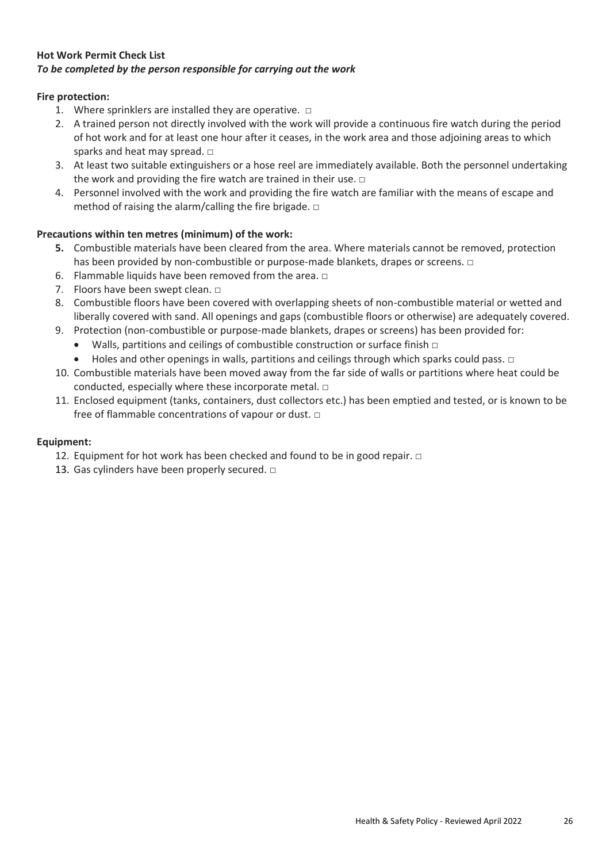# **Hot Work Permit Check List** *To be completed by the person responsible for carrying out the work*

# **Fire protection:**

- 1. Where sprinklers are installed they are operative.  $\square$
- 2. A trained person not directly involved with the work will provide a continuous fire watch during the period of hot work and for at least one hour after it ceases, in the work area and those adjoining areas to which sparks and heat may spread.  $\square$
- 3. At least two suitable extinguishers or a hose reel are immediately available. Both the personnel undertaking the work and providing the fire watch are trained in their use.  $\square$
- 4. Personnel involved with the work and providing the fire watch are familiar with the means of escape and method of raising the alarm/calling the fire brigade.  $\square$

# **Precautions within ten metres (minimum) of the work:**

- **5.** Combustible materials have been cleared from the area. Where materials cannot be removed, protection has been provided by non-combustible or purpose-made blankets, drapes or screens. □
- 6. Flammable liquids have been removed from the area.  $\square$
- 7. Floors have been swept clean. □
- 8. Combustible floors have been covered with overlapping sheets of non-combustible material or wetted and liberally covered with sand. All openings and gaps (combustible floors or otherwise) are adequately covered.
- 9. Protection (non-combustible or purpose-made blankets, drapes or screens) has been provided for:
	- Walls, partitions and ceilings of combustible construction or surface finish  $\Box$
	- Holes and other openings in walls, partitions and ceilings through which sparks could pass.  $\Box$
- 10. Combustible materials have been moved away from the far side of walls or partitions where heat could be conducted, especially where these incorporate metal. □
- 11. Enclosed equipment (tanks, containers, dust collectors etc.) has been emptied and tested, or is known to be free of flammable concentrations of vapour or dust. □

# **Equipment:**

- 12. Equipment for hot work has been checked and found to be in good repair. □
- 13. Gas cylinders have been properly secured.  $\square$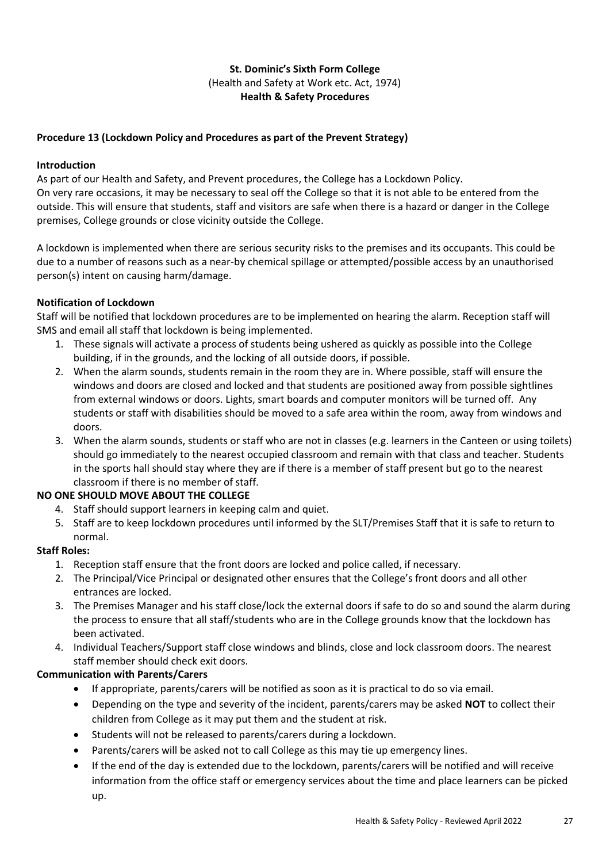# **Procedure 13 (Lockdown Policy and Procedures as part of the Prevent Strategy)**

#### **Introduction**

As part of our Health and Safety, and Prevent procedures, the College has a Lockdown Policy. On very rare occasions, it may be necessary to seal off the College so that it is not able to be entered from the outside. This will ensure that students, staff and visitors are safe when there is a hazard or danger in the College premises, College grounds or close vicinity outside the College.

A lockdown is implemented when there are serious security risks to the premises and its occupants. This could be due to a number of reasons such as a near-by chemical spillage or attempted/possible access by an unauthorised person(s) intent on causing harm/damage.

### **Notification of Lockdown**

Staff will be notified that lockdown procedures are to be implemented on hearing the alarm. Reception staff will SMS and email all staff that lockdown is being implemented.

- 1. These signals will activate a process of students being ushered as quickly as possible into the College building, if in the grounds, and the locking of all outside doors, if possible.
- 2. When the alarm sounds, students remain in the room they are in. Where possible, staff will ensure the windows and doors are closed and locked and that students are positioned away from possible sightlines from external windows or doors. Lights, smart boards and computer monitors will be turned off. Any students or staff with disabilities should be moved to a safe area within the room, away from windows and doors.
- 3. When the alarm sounds, students or staff who are not in classes (e.g. learners in the Canteen or using toilets) should go immediately to the nearest occupied classroom and remain with that class and teacher. Students in the sports hall should stay where they are if there is a member of staff present but go to the nearest classroom if there is no member of staff.

# **NO ONE SHOULD MOVE ABOUT THE COLLEGE**

- 4. Staff should support learners in keeping calm and quiet.
- 5. Staff are to keep lockdown procedures until informed by the SLT/Premises Staff that it is safe to return to normal.

#### **Staff Roles:**

- 1. Reception staff ensure that the front doors are locked and police called, if necessary.
- 2. The Principal/Vice Principal or designated other ensures that the College's front doors and all other entrances are locked.
- 3. The Premises Manager and his staff close/lock the external doors if safe to do so and sound the alarm during the process to ensure that all staff/students who are in the College grounds know that the lockdown has been activated.
- 4. Individual Teachers/Support staff close windows and blinds, close and lock classroom doors. The nearest staff member should check exit doors.

#### **Communication with Parents/Carers**

- If appropriate, parents/carers will be notified as soon as it is practical to do so via email.
- Depending on the type and severity of the incident, parents/carers may be asked **NOT** to collect their children from College as it may put them and the student at risk.
- Students will not be released to parents/carers during a lockdown.
- Parents/carers will be asked not to call College as this may tie up emergency lines.
- If the end of the day is extended due to the lockdown, parents/carers will be notified and will receive information from the office staff or emergency services about the time and place learners can be picked up.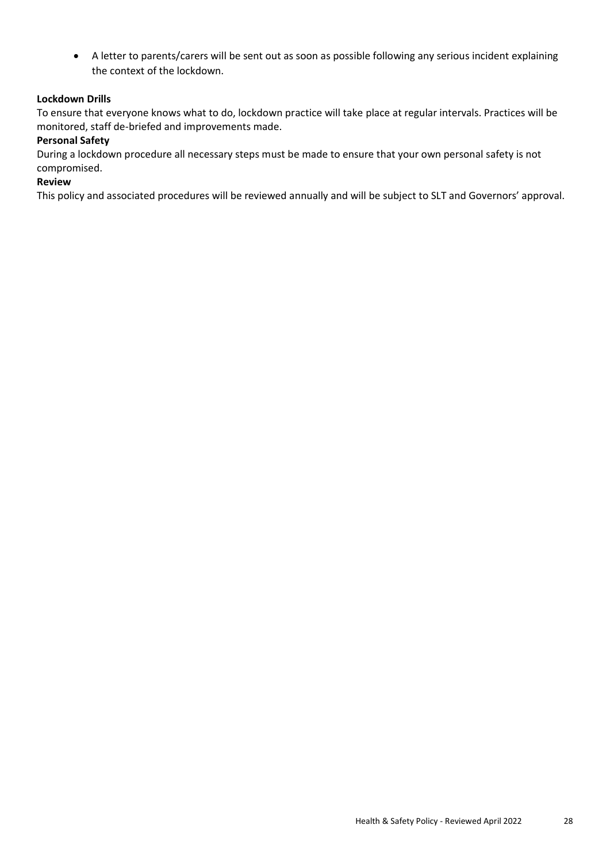• A letter to parents/carers will be sent out as soon as possible following any serious incident explaining the context of the lockdown.

# **Lockdown Drills**

To ensure that everyone knows what to do, lockdown practice will take place at regular intervals. Practices will be monitored, staff de-briefed and improvements made.

#### **Personal Safety**

During a lockdown procedure all necessary steps must be made to ensure that your own personal safety is not compromised.

#### **Review**

This policy and associated procedures will be reviewed annually and will be subject to SLT and Governors' approval.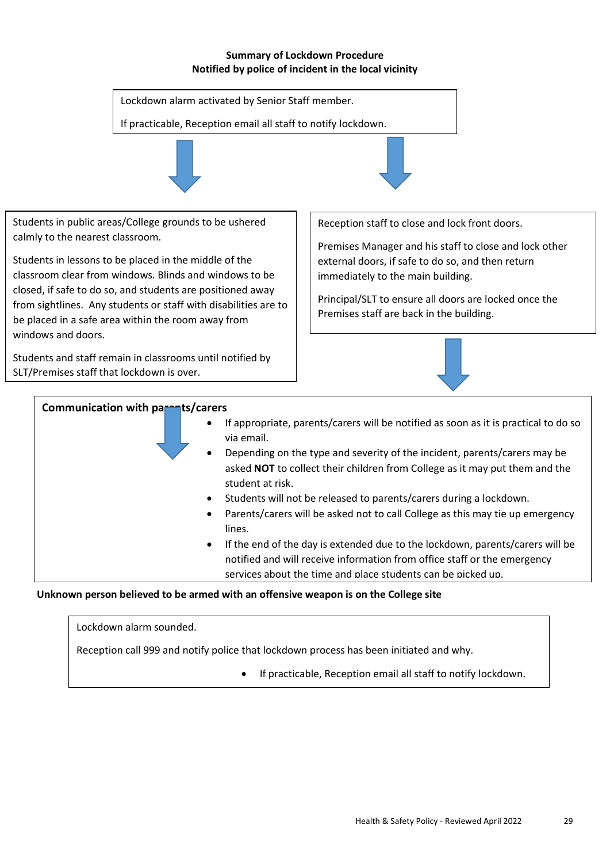#### **Summary of Lockdown Procedure Notified by police of incident in the local vicinity**



- Students will not be released to parents/carers during a lockdown.
- Parents/carers will be asked not to call College as this may tie up emergency lines.
- If the end of the day is extended due to the lockdown, parents/carers will be notified and will receive information from office staff or the emergency services about the time and place students can be picked up.

parents/carers to reinforce with the students the students the students the importance of following the importance of following the importance of following the importance of following the importance of following the import

# Unknown person believed to be armed with an offensive weapon is on the College site serious incident to explain the context of lockdown and to encourage

Lockdown alarm sounded.

Reception call 999 and notify police that lockdown process has been initiated and why.

• If practicable, Reception email all staff to notify lockdown.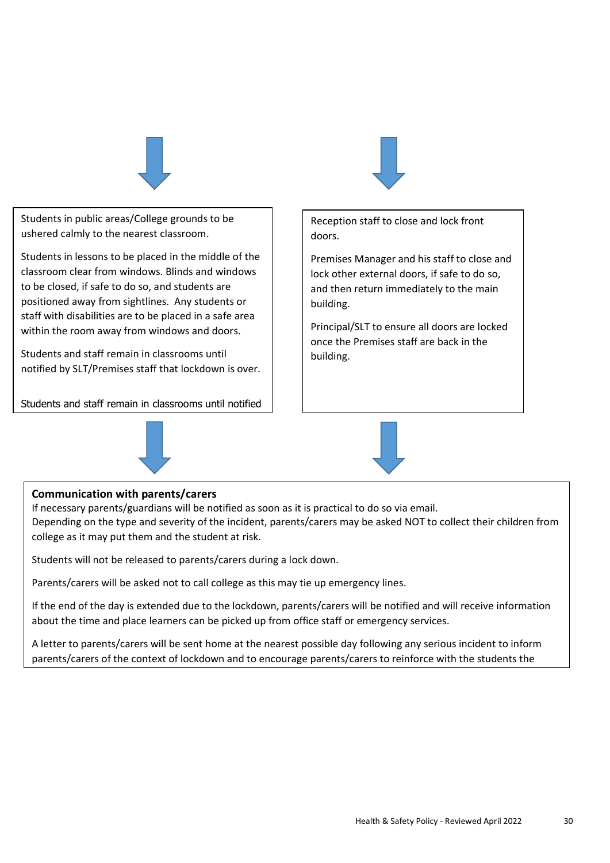

Students in public areas/College grounds to be ushered calmly to the nearest classroom.

Students in lessons to be placed in the middle of the classroom clear from windows. Blinds and windows to be closed, if safe to do so, and students are positioned away from sightlines. Any students or staff with disabilities are to be placed in a safe area within the room away from windows and doors.

Students and staff remain in classrooms until notified by SLT/Premises staff that lockdown is over.

Students and staff remain in classrooms until notified





Reception staff to close and lock front doors.

Premises Manager and his staff to close and lock other external doors, if safe to do so, and then return immediately to the main building.

Principal/SLT to ensure all doors are locked once the Premises staff are back in the building.

# **Communication with parents/carers**

by SMG that local development is over.

If necessary parents/guardians will be notified as soon as it is practical to do so via email. Depending on the type and severity of the incident, parents/carers may be asked NOT to collect their children from college as it may put them and the student at risk.

Students will not be released to parents/carers during a lock down.

Parents/carers will be asked not to call college as this may tie up emergency lines.

If the end of the day is extended due to the lockdown, parents/carers will be notified and will receive information about the time and place learners can be picked up from office staff or emergency services.

A letter to parents/carers will be sent home at the nearest possible day following any serious incident to inform parents/carers of the context of lockdown and to encourage parents/carers to reinforce with the students the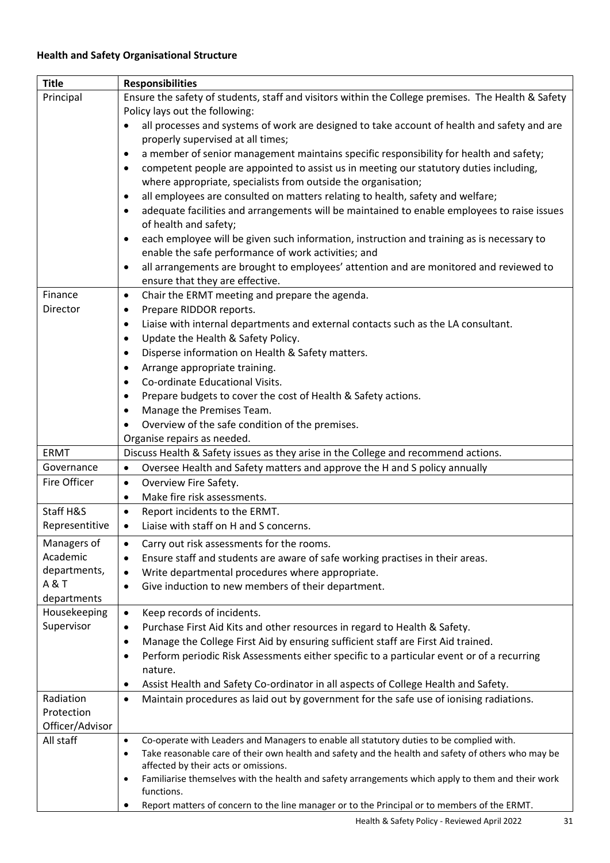| <b>Title</b>                | <b>Responsibilities</b>                                                                                                                                              |
|-----------------------------|----------------------------------------------------------------------------------------------------------------------------------------------------------------------|
| Principal                   | Ensure the safety of students, staff and visitors within the College premises. The Health & Safety<br>Policy lays out the following:                                 |
|                             | all processes and systems of work are designed to take account of health and safety and are<br>properly supervised at all times;                                     |
|                             | a member of senior management maintains specific responsibility for health and safety;<br>$\bullet$                                                                  |
|                             | competent people are appointed to assist us in meeting our statutory duties including,<br>$\bullet$<br>where appropriate, specialists from outside the organisation; |
|                             | all employees are consulted on matters relating to health, safety and welfare;<br>$\bullet$                                                                          |
|                             | adequate facilities and arrangements will be maintained to enable employees to raise issues<br>$\bullet$<br>of health and safety;                                    |
|                             | each employee will be given such information, instruction and training as is necessary to<br>$\bullet$                                                               |
|                             | enable the safe performance of work activities; and                                                                                                                  |
|                             | all arrangements are brought to employees' attention and are monitored and reviewed to<br>$\bullet$                                                                  |
|                             | ensure that they are effective.                                                                                                                                      |
| Finance                     | Chair the ERMT meeting and prepare the agenda.<br>$\bullet$                                                                                                          |
| Director                    | Prepare RIDDOR reports.<br>$\bullet$                                                                                                                                 |
|                             | Liaise with internal departments and external contacts such as the LA consultant.<br>$\bullet$                                                                       |
|                             | Update the Health & Safety Policy.<br>$\bullet$                                                                                                                      |
|                             | Disperse information on Health & Safety matters.<br>$\bullet$                                                                                                        |
|                             | Arrange appropriate training.<br>$\bullet$                                                                                                                           |
|                             | Co-ordinate Educational Visits.<br>$\bullet$                                                                                                                         |
|                             | Prepare budgets to cover the cost of Health & Safety actions.<br>$\bullet$                                                                                           |
|                             | Manage the Premises Team.<br>$\bullet$                                                                                                                               |
|                             | Overview of the safe condition of the premises.<br>$\bullet$                                                                                                         |
|                             | Organise repairs as needed.                                                                                                                                          |
| <b>ERMT</b>                 | Discuss Health & Safety issues as they arise in the College and recommend actions.                                                                                   |
| Governance                  | Oversee Health and Safety matters and approve the H and S policy annually<br>$\bullet$                                                                               |
| Fire Officer                | Overview Fire Safety.<br>$\bullet$                                                                                                                                   |
|                             | Make fire risk assessments.<br>$\bullet$                                                                                                                             |
| Staff H&S                   | Report incidents to the ERMT.<br>$\bullet$                                                                                                                           |
| Representitive              | Liaise with staff on H and S concerns.<br>$\bullet$                                                                                                                  |
| Managers of                 | Carry out risk assessments for the rooms.                                                                                                                            |
| Academic                    | Ensure staff and students are aware of safe working practises in their areas.<br>$\bullet$                                                                           |
| departments,                | Write departmental procedures where appropriate.<br>$\bullet$                                                                                                        |
| <b>A&amp;T</b>              | Give induction to new members of their department.<br>$\bullet$                                                                                                      |
| departments<br>Housekeeping |                                                                                                                                                                      |
| Supervisor                  | Keep records of incidents.<br>$\bullet$<br>Purchase First Aid Kits and other resources in regard to Health & Safety.<br>$\bullet$                                    |
|                             | Manage the College First Aid by ensuring sufficient staff are First Aid trained.<br>٠                                                                                |
|                             | Perform periodic Risk Assessments either specific to a particular event or of a recurring<br>٠                                                                       |
|                             | nature.                                                                                                                                                              |
|                             | Assist Health and Safety Co-ordinator in all aspects of College Health and Safety.<br>$\bullet$                                                                      |
| Radiation                   | Maintain procedures as laid out by government for the safe use of ionising radiations.<br>$\bullet$                                                                  |
| Protection                  |                                                                                                                                                                      |
| Officer/Advisor             |                                                                                                                                                                      |
| All staff                   | Co-operate with Leaders and Managers to enable all statutory duties to be complied with.<br>$\bullet$                                                                |
|                             | Take reasonable care of their own health and safety and the health and safety of others who may be<br>$\bullet$                                                      |
|                             | affected by their acts or omissions.                                                                                                                                 |
|                             | Familiarise themselves with the health and safety arrangements which apply to them and their work<br>$\bullet$<br>functions.                                         |
|                             | Report matters of concern to the line manager or to the Principal or to members of the ERMT.                                                                         |